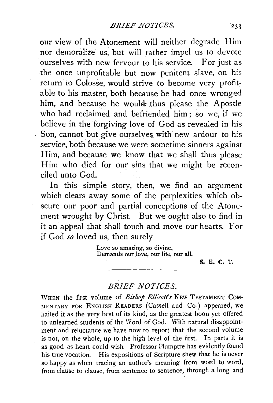our view of the Atonement will neither degrade Him nor demoralize us, but will rather impel us to devote ourselves with new fervour to his service. For just as the once unprofitable but now penitent slave, on his return to Colosse, would strive to become very profitable to his master, both because he had once wronged him, and because he would thus please the Apostle who had reclaimed and befriended him ; so we, if we believe in the forgiving love of God as revealed in his Son, cannot but give ourselves with new ardour to his service, both because we were sometime sinners against Him, and because we know that we shall thus please Him who died for our sins that we might be reconciled unto God.

In this simple story, then, we find an argument which clears away some of the perplexities which obscure our poor and partial conceptions of the Atonement wrought by Christ. But we ought also to find in it an appeal that shall touch and move our hearts. For if God so loved us, then surely

> Love so amazing, so divine, Demands our love, our life, our all.

> > S. E. C. T.

## *BRIEF NOTICES.*

WHEN the first volume of *Bishop Ellicott's* NEw TESTAMENT CoM-MENTARY FOR ENGLISH READERS (Cassell and Co.) appeared, we hailed it as the very best of its kind, as the greatest boon yet offered to unlearned students of the Word of God. With natural disappointment and reluctance we have now to report that the second volume is not, on the whole, up to the high level of the first. In parts it is as good as heart could wish. Professor Plumptre has evidently found his true vocation. His expositions of Scripture shew that he is never so happy as when tracing an author's meaning from word to word, from clause to clause, from sentence to sentence, through a long and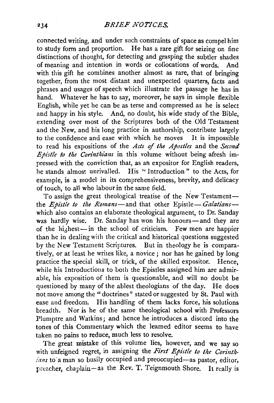connected writing, and under such constraints of space as compel him to study form and proportion. He has a rare gift for seizing on fine distinctions of thought, for detecting and grasping the subtler shades of meaning and intention in words or collocations of words. And with this gift he combines another almost as rare, that of bringing together, from the most distant and unexpected quarters, facts and phrases and usages of speech which illustrate the passage he has in hand. Whatever he has to say, moreover, he says in simple flexible English, while yet he can be as terse and compressed as he is select and happy in his style. And, no doubt, his wide study of the Bible, extending over most of the Scriptures both of the Old Testament and the New, and his long practice in authorship, contribute largely to the confidence and ease with which he moves It is impossible to read his expositions of the *Acts of the Apostles* and the *Second Epistle to the Corinthiatzs* in this volume without being afresh impressed with the conviction that, as an expositor for English readers, he stands almost unrivalled. His "Introduction" to the Acts, for example, is a model in its comprehensiveness, brevity, and delicacy of touch, to all who labour in the same field.

To assign the great theological treatise of the New Testamentthe *Epistle to the Romans*—and that other Epistle– *Galatians*which also contains an elaborate theological argument, to Dr. Sanday was hardly wise. Dr. Sanday has won his honours-and they are of the hi,hest-in the school of criticism. Few men are happier than he in dealing with the critical and historical questions suggested by the *New* Testament Scriptures. But in theology he is comparatively, or at least he writes like, a novice; nor has he gained by long practice the special skill, or trick, of the skilled expositor. Hence, while his Introductions to both the Epistles assigned him are admirable, his exposition of them is questionable, and will no doubt be questioned by many of the ablest theologians of the day. He does not move among the "doctrines" stated or suggested by St. Paul with ease and freedom. His handling of them lacks force, his solutions breadth. Nor is he of the same theological school with Professors Plumptre and Watkins; and hence he introduces a discord into the tones of this. Commentary which the learned editor seems to have taken no pains to reduce, much less to resolve.

The great mistake of this volume lies, however, and we say so with unfeigned regret, in assigning the First Epistle to the Corinth*ians* to a man so busily occupied and preoccupied-as pastor, editor, preacher, chaplain-as the Rev. T. Teignmouth Shore. It really is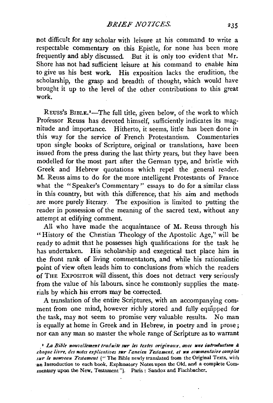not difficult for any scholar with leisure at his command to write a respectable commentary on this Epistle, for none has been more frequently and ably discussed. But it is only too evident that Mr. Shore has not had sufficient leisure at his command to enable him to give us his best work. His exposition lacks the erudition, the scholarship, the grasp and breadth of thought, which would have brought it up to the level of the other contributions to this great work.

REuss's BIBLE.'-The full title, given below, of the work to which Professor Reuss has devoted himself, sufficiently indicates its magnitude and importance. Hitherto, it seems, little has been done in this way for the service of French Protestantism. Commentaries upon single books of Scripture, original or translations, have been issued from the press during the last thirty years, but they have been modelled for the most part after the German type, and bristle with Greek and Hebrew quotations which repel the general reader. M. Reuss aims to do for the more mtelligent Protestants of France what the "Speaker's Commentary" essays to do for a similar class in this country, but with this difference; that his aim and methods are more purely literary. The exposition is limited to putting the reader in possession of the meaning of the sacred text, without any attempt at edifying comment.

All who have made the acquaintance of M. Reuss through his "History of the Christian Theology of the Apostolic Age," will be ready to admit that he possesses high qualifications for the task he has undertaken. His scholarship and exegetical tact place him in the front rank of living commentators, and while his rationalistic point of view often leads him to conclusions from which the readers of THE EXPOSITOR will dissent, this does not detract very seriously from the value of his labours. since he commonly supplies the materials by which his errors may be corrected.

A translation of the entire Scriptures, with an accompanying comment from one mind, however richly stored and fully equipped for the task, may not seem to promise very valuable results. No man is equally at home in Greek and in Hebrew, in poetry and in prose; nor can any man so master the whole range of Scripture as to warrant

<sup>1</sup> La Bible nowvellement traduite sur les textes originaux, avec une introduction à *dzaque lh•re, des notes explicatives ntr l'attcim Testament, et 1111 ro111mmtaire comp!et sur le nouveau Testament* ("The Bible newly translated from the Original Texts, with an Introduction to each book, Explanatory Notes upon the Old, and a complete Commentary upon the New, Testament"). Paris: Sandoz and Fischbacher.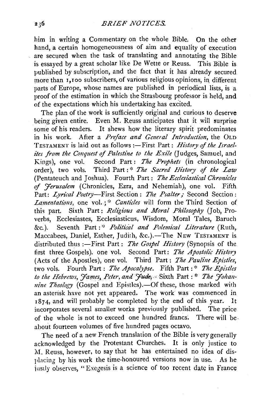him in writing a Commentary on the whole Bible. On the other hand, a certain homogeneousness of aim and equality of execution are secured when the task of translating and annotating the Bible is essayed by a great scholar like De Wette or Reuss. This Bible is published by subscription, and the fact that it has already secured more than  $\overline{1}$ , 100 subscribers, of various religious opinions, in different parts of Europe, whose names are published in periodical lists, is a proof of the estimation in which the Strasbourg professor is held, and of the expectations which his undertaking has excited.

The plan of the work is sufficiently original and curious to deserve being given entire. Even M. Reuss anticipates that it will surprise some of his readers. It shews how the literary spirit predominates in his work. After a *Preface and Gmeral Introduction,* the OLD TESTAMENT is laid out as follows :-First Part: *History* of *the Israelites from the Conquest* of *Palestine to the Exile* (Judges, Samuel, and Kings), one vol. Second Part: *The Prophets* (in chronological order), two vols. Third Part:<sup>\*</sup> The Sacred History of the Law (Pentateuch and Joshua). Fourth Part : *The Ecclesiastical Chronicles*  of *J'erusalem* (Chronicles, Ezra, and Nehemiah), one vol. Fifth Part: *Lyrical Poetry*—First Section: *The Psalter*; Second Section: *Lamentations, one vol.*;<sup>\*</sup> *Canticles* will form the Third Section of this part. Sixth Part : *Religious and Moral Philosophy* (Job, Proverbs, Ecclesiastes, Ecclesiasticus, Wisdom, Moral Tales, Baruch  $\&c.$ ). Seventh Part : \* *Political and Polemical Literature* (Ruth, Maccabees, Daniel, Esther, Judith, &c.).-The NEW TESTAMENT is distributed thus :- First Part : *The Gospel History* (Synopsis of the first three Gospels). one vol. Second Part: *The Apostolic History*  (Acts of the Apostles), one vol. Third Part: *The Pauline Epistles*, two vols. Fourth Part : The Apocalypse. Fifth Part :\* The Epistles to the Hebrews, James, Peter, and Jude, Sixth Part : \* The Johan*nine Theology* (Gospel and Epistles).-Of these, those marked with an asterisk have not yet appeared. The work was commenced in 1874, and will probably be completed by the end of this year. It incorporates several smaller works previously published. The price of the whole is not to exceed one hundred francs; There will be· about fourteen volumes of five hundred pages octavo.

The need of a new French translation of the Bible is very generally acknowledged by the Protestant Churches. It is only justice to M. Reuss, however, to say that he has entertained no idea of displacing by his work the time-honoured versions now in use. As he iustly observes, "Exegesis is a science of too recent date in France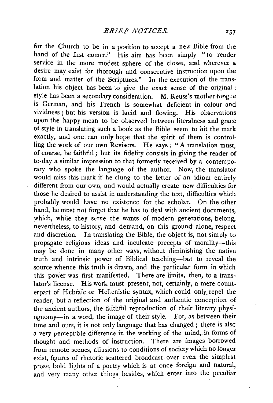for the Church to be in a position to accept a new Bible from the hand of the first comer." His aim has been simply "to render service in the more modest sphere of the closet, and wherever a desire may exist for thorough and consecutive instruction upon the form and matter of the Scriptures." In the execution of the translation his object has been to give the exact sense of the original : style has been a secondary consideration. M. Reuss's mother-tongue is German, and his French is somewhat deficient in colour and vividness; but his version is lucid and flowing. His observations upon the happy mean to be observed between literalness and grace of style in translating such a book as the Bible seem to hit the mark exactly, and one can only hope that the spirit of them is controlling the work of our own Revisers. He says : "A translation must, of course, be faithful ; but its fidelity consists in giving the reader of to-day a similar impression to that formerly received by a contemporary who spoke the language of the author. Now, the translator would miss this mark if he clung to the letter of an idiom entirely different from our own, and would actually create new difficulties for those he desired to assist in understanding the text, difficulties which probably would have no existence for the scholar. On the other hand, he must not forget that he has to deal with ancient documents, which, while they serve the wants of modern generations, belong, nevertheless, to history, and demand, on this ground alone, respect and discretion. In translating the Bible, the object is, not simply to propagate religious ideas and inculcate precepts of morality-this may be done in many other ways, without diminishing the native truth and intrinsic power of Biblical teaching-but to reveal the source whence this truth is drawn, and the particular form in which this power was first manifested. There are limits, then, to a translator's license. His work must present, not, certainly, a mere counterpart of Hebraic or Hellenistic syntax, which could only\_ repel the reader, but a reflection of the original and authentic conception of the ancient authors, the faithful reproduction of their literary physiognomy-in a word, the image of their style. For, as between their · time and ours, it is not only language that has changed; there is also a very perceptible difference in the working of the mind, in forms of thought and methods of instruction. There are images borrowed from remote scenes, allusions to conditions of society which no longer exist, figures of rhetoric scattered broadcast over even the simplest prose, bold flights of a poetry which is at once foreign and natural, and very many other things besides, which enter into the peculiar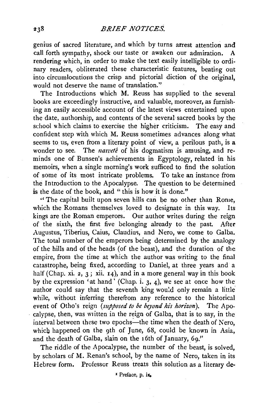genius of sacred literature, and which by turns arrest attention and call forth sympathy, shock our taste or awaken our admiration. A rendering which, in order to make the text easily intelligible to ordinary readers, obliterated these characteristic features, beating out into circumlocutions the crisp and pictorial diction of the original, would not deserve the name of translation."

The Introductions which M. Reuss has supplied to the several books are exceedingly instructive, and valuable, moreover, as furnish· ing an easily accessible account of the latest views entertained upon the date, authorship, and contents of the several sacred books by the school which claims to exercise the higher criticism. The easy and confident step with which M. Reuss sometimes advances along what seems to us, even from a literary point of view, a perilous path, is a wonder to see. The *natveté* of his dogmatism is amusing, and reminds one of Bunsen's achievements in Egyptology, related in his memoirs, when a single morning's work sufficed to find the solution of some of its most intricate problems. To take an instance from the Introduction to the Apocalypse. The question to be determined is the date of the book, and "this is how it is done."

"The capital built upon seven hills can be no other than Rome, which the Romans themselves loved to designate in this way. Its kings are the Roman emperors. Our author writes during the reign of the sixth, the first five belonging already to the past. After Augustus, Tiberius, Caius, Claudius, and Nero, we come to Galba. The total number of the emperors being determined by the analogy of the hills and of the heads (of the beast), and the duration of the empire, from the time at which the author was writing to the final catastrophe, being fixed, according to Daniel, at three years and a half (Chap. xi. *z,* 3; xii. 14), and in a more general way in this book by the expression 'at hand' (Chap. i. 3, 4), we see at once how the author could say that the seventh king wou!d only remain a little. while, without inferring therefrom any reference to the historical event of Otho's reign *(supposed to be beyond his horizon*). The Apocalypse, then, was written in the reign of Galba, that is to say, in the interval between these two epochs—the time when the death of Nero, which happened on the 9th of June, 68, could be known in Asia, and the death of Galba, slain on the 16th of January, 69.''

The riddle of the Apocalypse, the number of the beast, is solved, by scholars of M. Renan's school, by the name of Nero, taken in its Hebrew form. Professor Reuss treats this solution as a literary de-

• Prelace, p. ix.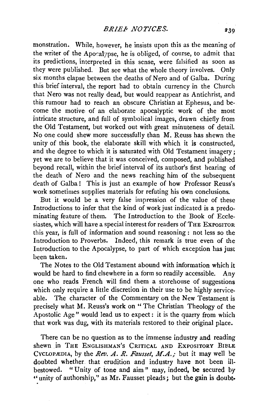monstration. While, however, he insists upon this as the meaning of the writer of the Apocalypse, he is obliged, of course, to admit that its predictions, interpreted in this sense, were falsified as soon as they were published. But see what the whole theory involves. Only six months elapse between the deaths of Nero and of Galba. During this brief interval, the report had to obtain currency in the Church that Nero was not really dead, but would reappear as Antichrist, and this rumour had to reach an obscure Christian at Ephesus, and become the motive- of an elaborate apocalyptic work of the most intricate structure, and full of symbolical images, drawn chiefly from the Old Testament, but worked out with great minuteness of detail. No one could shew more successfully than M. Reuss has shewn the unity of this book, the elaborate skill with which it is constructed, and the degree to which it is saturated with Old Testament imagery; yet we are to believe that it was conceived, composed, and published beyond recall, within the brief interval of its author's first hearing of the death of Nero and the news reaching him of the subsequent death of Galba! This is just an example of how Professor Reuss's work sometimes supplies materials for refuting his own conclusions.

But it would be a very false impression of the value of these Introductions to infer that the kind of work just indicated is a predominating feature of them. The Introduction to the Book of Ecclesiastes, which will have a special interest for readers of THE EXPOSITOR this year, is full of information and sound reasoning : not less so the Introduction to Proverbs. Indeed, this remark is true even of the Introduction to the Apocalypse, to part of which exception has just been taken.

The Notes to the Old Testament abound with information which it would be hard to find elsewhere in a form so readily accessible. Any one who reads French will find them a storehouse of suggestions which only require a little discretion in their use to be highly serviceable. The character of the Commentary on the New Testament is precisely what M. Reuss's work on " The Christian Theology of the Apostolic Age" would lead us to expect: it is the quarry from which that work was dug, with its materials restored to their original place.

There can be no question as to the immense industry and reading shewn in THE ENGLISHMAN'S CRITICAL AND EXPOSITORY BIBLE CYCLOPÆDIA, by the *Rev. A. R. Fausset, M.A.*; but it may well be doubted whether. that erudition and industry have not been illbestowed. " Unity of tone and aim " may, indeed, be secured by "unity of authorship,'' as Mr. Fausset pleads; but the gain is doubt·